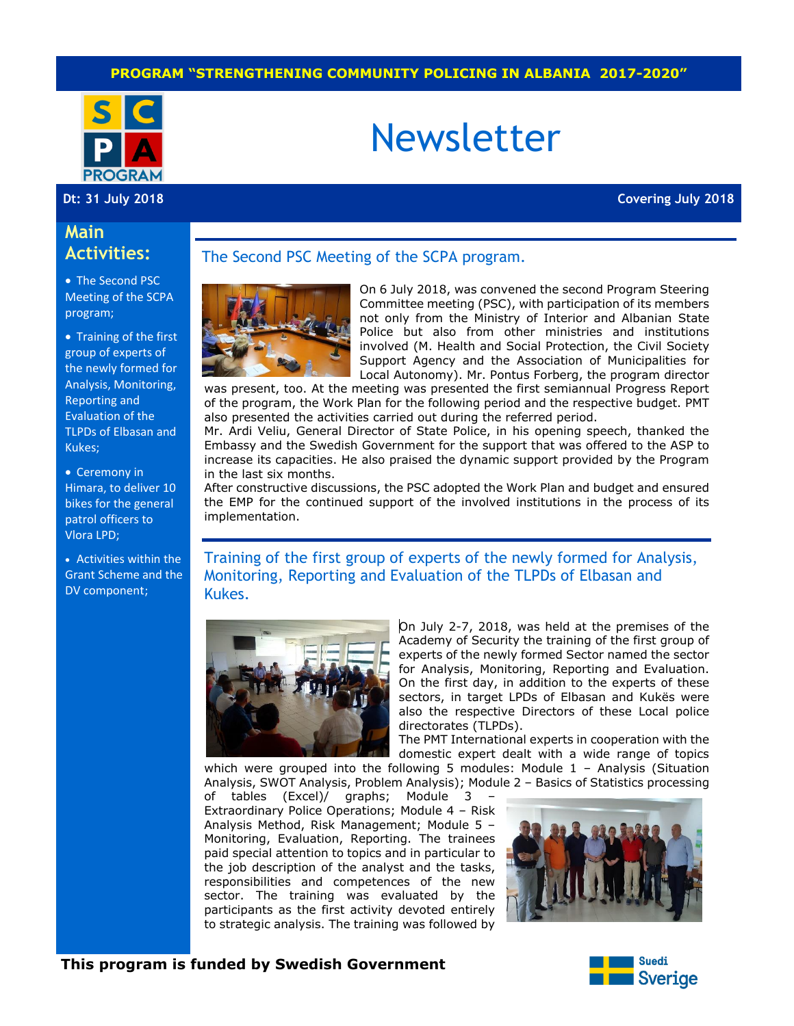#### **PROGRAM "STRENGTHENING COMMUNITY POLICING IN ALBANIA 2017-2020"**



# Newsletter

**Dt: 31 July 2018 Covering July 2018**

# **Main Activities:**

• The Second PSC Meeting of the SCPA program;

• Training of the first group of experts of the newly formed for Analysis, Monitoring, Reporting and Evaluation of the TLPDs of Elbasan and Kukes;

• Ceremony in Himara, to deliver 10 bikes for the general patrol officers to Vlora LPD;

 Activities within the Grant Scheme and the DV component;

#### The Second PSC Meeting of the SCPA program.



On 6 July 2018, was convened the second Program Steering Committee meeting (PSC), with participation of its members not only from the Ministry of Interior and Albanian State Police but also from other ministries and institutions involved (M. Health and Social Protection, the Civil Society Support Agency and the Association of Municipalities for Local Autonomy). Mr. Pontus Forberg, the program director

was present, too. At the meeting was presented the first semiannual Progress Report of the program, the Work Plan for the following period and the respective budget. PMT also presented the activities carried out during the referred period.

Mr. Ardi Veliu, General Director of State Police, in his opening speech, thanked the Embassy and the Swedish Government for the support that was offered to the ASP to increase its capacities. He also praised the dynamic support provided by the Program in the last six months.

After constructive discussions, the PSC adopted the Work Plan and budget and ensured the EMP for the continued support of the involved institutions in the process of its implementation.

Training of the first group of experts of the newly formed for Analysis, Monitoring, Reporting and Evaluation of the TLPDs of Elbasan and Kukes.



On July 2-7, 2018, was held at the premises of the Academy of Security the training of the first group of experts of the newly formed Sector named the sector for Analysis, Monitoring, Reporting and Evaluation. On the first day, in addition to the experts of these sectors, in target LPDs of Elbasan and Kukës were also the respective Directors of these Local police directorates (TLPDs).

The PMT International experts in cooperation with the domestic expert dealt with a wide range of topics

which were grouped into the following 5 modules: Module 1 - Analysis (Situation Analysis, SWOT Analysis, Problem Analysis); Module 2 – Basics of Statistics processing

of tables (Excel)/ graphs; Module 3 – Extraordinary Police Operations; Module 4 – Risk Analysis Method, Risk Management; Module 5 – Monitoring, Evaluation, Reporting. The trainees paid special attention to topics and in particular to the job description of the analyst and the tasks, responsibilities and competences of the new sector. The training was evaluated by the participants as the first activity devoted entirely to strategic analysis. The training was followed by



#### **This program is funded by Swedish Government**

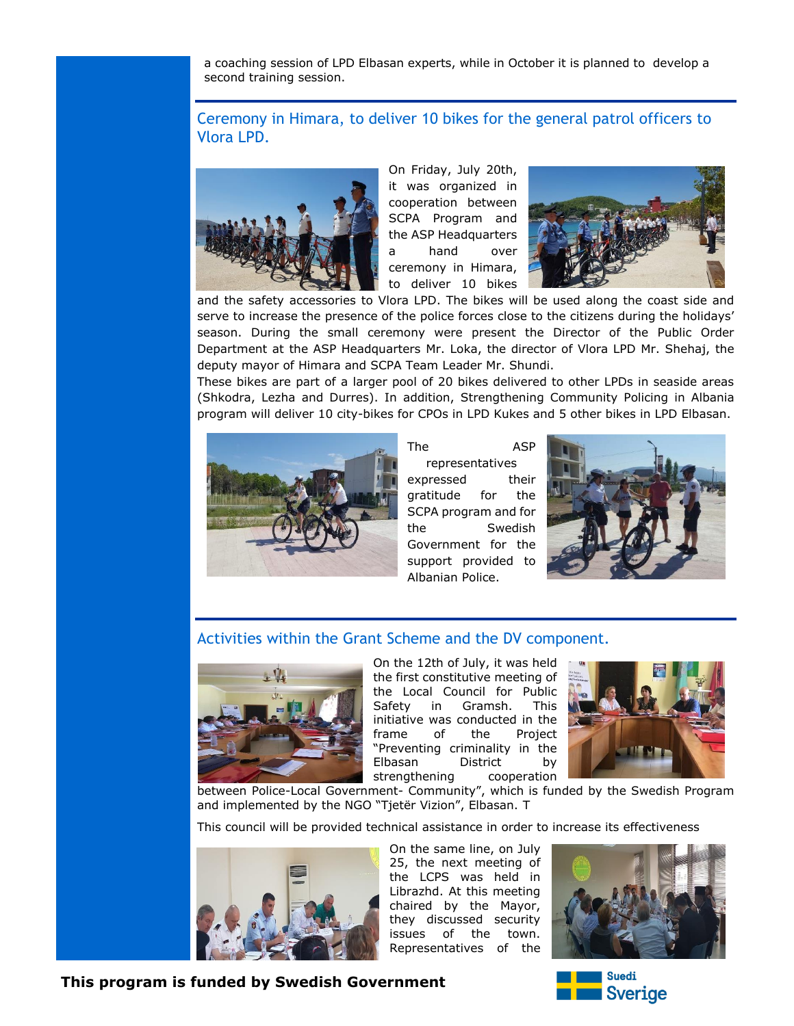a coaching session of LPD Elbasan experts, while in October it is planned to develop a second training session.

## Ceremony in Himara, to deliver 10 bikes for the general patrol officers to Vlora LPD.



On Friday, July 20th, it was organized in cooperation between SCPA Program and the ASP Headquarters a hand over ceremony in Himara, to deliver 10 bikes



and the safety accessories to Vlora LPD. The bikes will be used along the coast side and serve to increase the presence of the police forces close to the citizens during the holidays' season. During the small ceremony were present the Director of the Public Order Department at the ASP Headquarters Mr. Loka, the director of Vlora LPD Mr. Shehaj, the deputy mayor of Himara and SCPA Team Leader Mr. Shundi.

These bikes are part of a larger pool of 20 bikes delivered to other LPDs in seaside areas (Shkodra, Lezha and Durres). In addition, Strengthening Community Policing in Albania program will deliver 10 city-bikes for CPOs in LPD Kukes and 5 other bikes in LPD Elbasan.



The ASP representatives expressed their gratitude for the SCPA program and for the Swedish Government for the support provided to Albanian Police.



### Activities within the Grant Scheme and the DV component.



On the 12th of July, it was held the first constitutive meeting of the Local Council for Public Safety in Gramsh. This initiative was conducted in the frame of the Project "Preventing criminality in the Elbasan District by strengthening cooperation



between Police-Local Government- Community", which is funded by the Swedish Program and implemented by the NGO "Tjetër Vizion", Elbasan. T

This council will be provided technical assistance in order to increase its effectiveness



On the same line, on July 25, the next meeting of the LCPS was held in Librazhd. At this meeting chaired by the Mayor, they discussed security issues of the town. Representatives of the



**Suedi Sverige** 

### **This program is funded by Swedish Government**